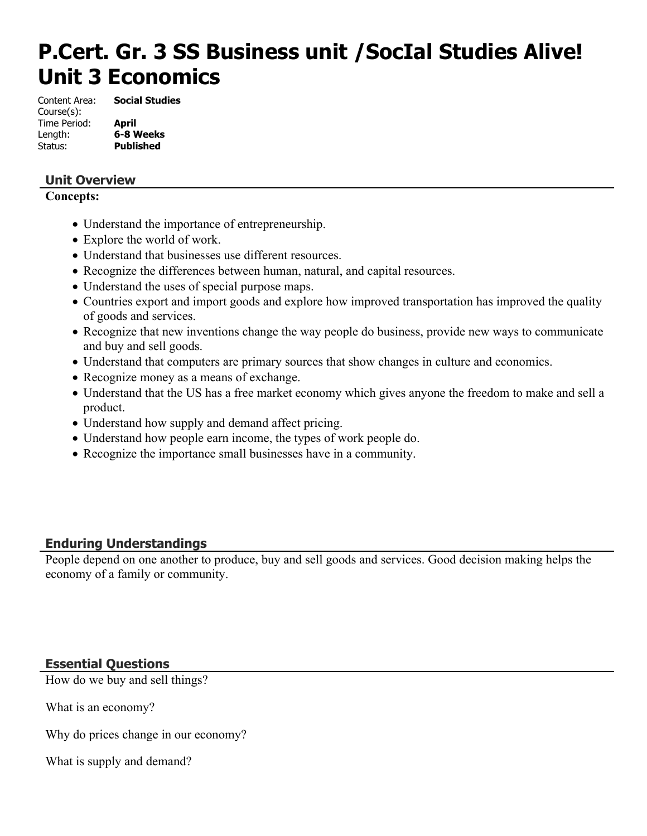# **P.Cert. Gr. 3 SS Business unit /SocIal Studies Alive! Unit 3 Economics**

Content Area: **Social Studies** Course(s): Time Period: **April** Length: **6-8 Weeks** Status: **Published**

## **Unit Overview**

#### **Concepts:**

- Understand the importance of entrepreneurship.
- Explore the world of work.
- Understand that businesses use different resources.
- Recognize the differences between human, natural, and capital resources.
- Understand the uses of special purpose maps.
- Countries export and import goods and explore how improved transportation has improved the quality of goods and services.
- Recognize that new inventions change the way people do business, provide new ways to communicate and buy and sell goods.
- Understand that computers are primary sources that show changes in culture and economics.
- Recognize money as a means of exchange.
- Understand that the US has a free market economy which gives anyone the freedom to make and sell a product.
- Understand how supply and demand affect pricing.
- Understand how people earn income, the types of work people do.
- Recognize the importance small businesses have in a community.

#### **Enduring Understandings**

People depend on one another to produce, buy and sell goods and services. Good decision making helps the economy of a family or community.

#### **Essential Questions**

How do we buy and sell things?

What is an economy?

Why do prices change in our economy?

What is supply and demand?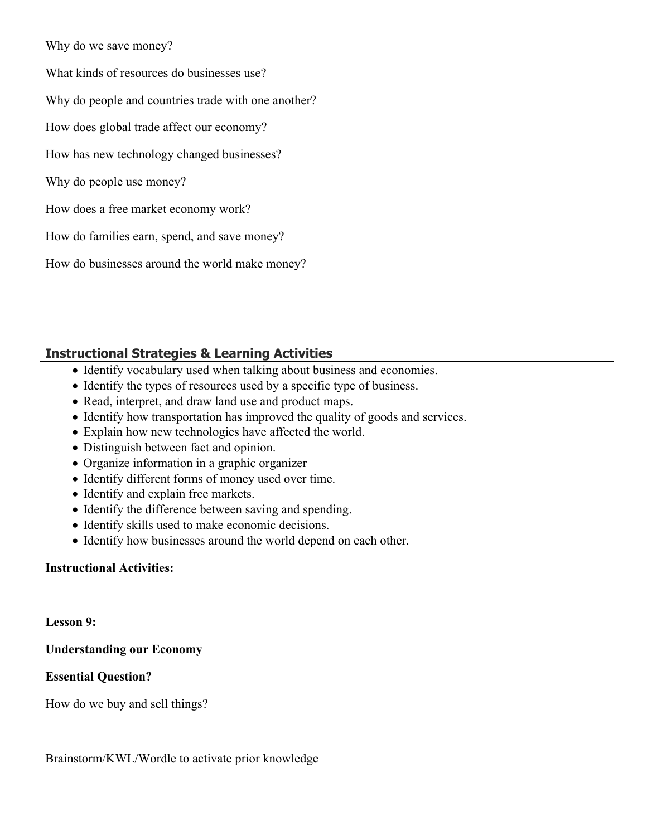Why do we save money?

What kinds of resources do businesses use?

Why do people and countries trade with one another?

How does global trade affect our economy?

How has new technology changed businesses?

Why do people use money?

How does a free market economy work?

How do families earn, spend, and save money?

How do businesses around the world make money?

## **Instructional Strategies & Learning Activities**

- Identify vocabulary used when talking about business and economies.
- Identify the types of resources used by a specific type of business.
- Read, interpret, and draw land use and product maps.
- Identify how transportation has improved the quality of goods and services.
- Explain how new technologies have affected the world.
- Distinguish between fact and opinion.
- Organize information in a graphic organizer
- Identify different forms of money used over time.
- Identify and explain free markets.
- Identify the difference between saving and spending.
- Identify skills used to make economic decisions.
- Identify how businesses around the world depend on each other.

#### **Instructional Activities:**

**Lesson 9:**

**Understanding our Economy**

#### **Essential Question?**

How do we buy and sell things?

Brainstorm/KWL/Wordle to activate prior knowledge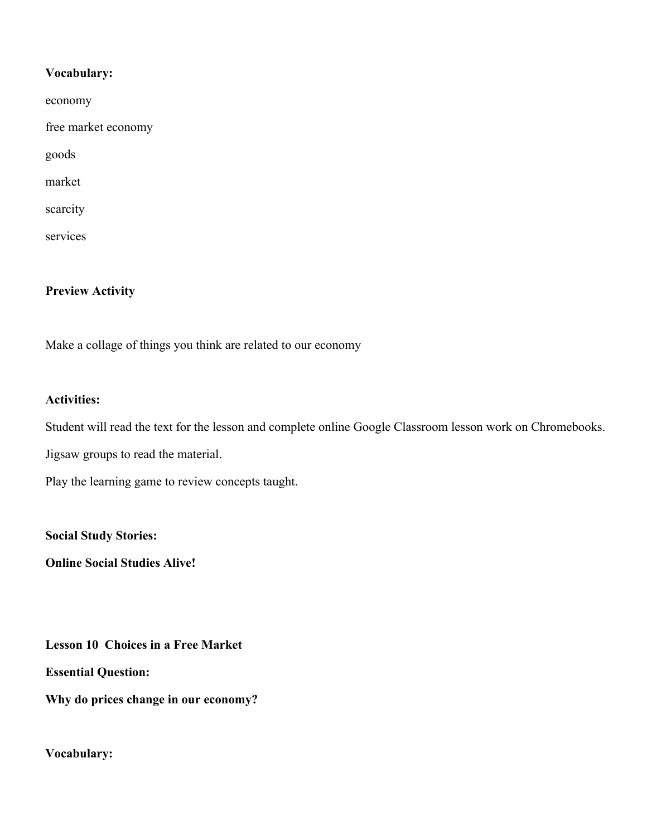#### **Vocabulary:**

| economy             |
|---------------------|
| free market economy |
| goods               |
| market              |
| scarcity            |
| services            |

#### **Preview Activity**

Make a collage of things you think are related to our economy

#### **Activities:**

Student will read the text for the lesson and complete online Google Classroom lesson work on Chromebooks.

Jigsaw groups to read the material.

Play the learning game to review concepts taught.

**Social Study Stories:**

**Online Social Studies Alive!**

**Lesson 10 Choices in a Free Market**

**Essential Question:**

**Why do prices change in our economy?**

#### **Vocabulary:**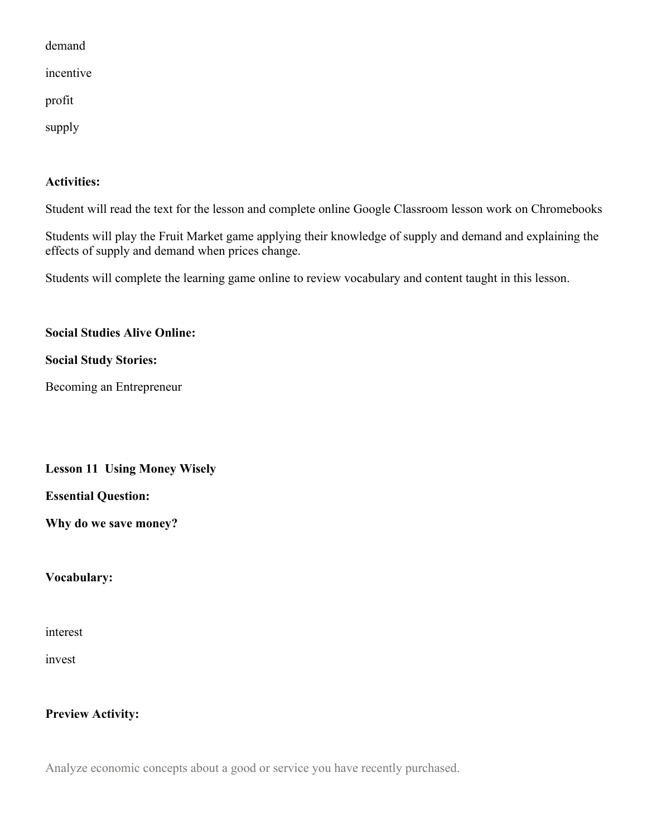demand

incentive

profit

supply

#### **Activities:**

Student will read the text for the lesson and complete online Google Classroom lesson work on Chromebooks

Students will play the Fruit Market game applying their knowledge of supply and demand and explaining the effects of supply and demand when prices change.

Students will complete the learning game online to review vocabulary and content taught in this lesson.

#### **Social Studies Alive Online:**

#### **Social Study Stories:**

Becoming an Entrepreneur

#### **Lesson 11 Using Money Wisely**

#### **Essential Question:**

**Why do we save money?**

**Vocabulary:**

interest

invest

#### **Preview Activity:**

Analyze economic concepts about a good or service you have recently purchased.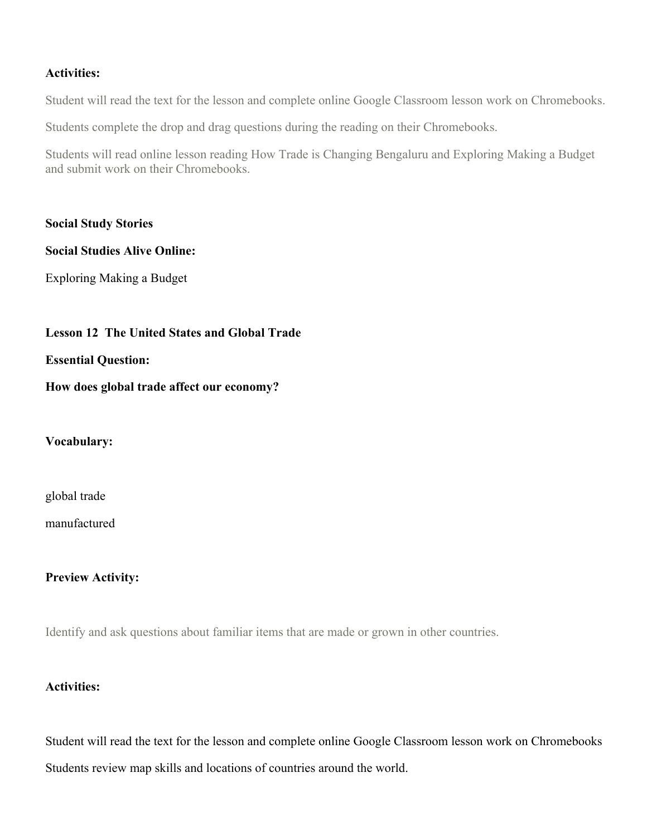#### **Activities:**

Student will read the text for the lesson and complete online Google Classroom lesson work on Chromebooks.

Students complete the drop and drag questions during the reading on their Chromebooks.

Students will read online lesson reading How Trade is Changing Bengaluru and Exploring Making a Budget and submit work on their Chromebooks.

**Social Study Stories**

#### **Social Studies Alive Online:**

Exploring Making a Budget

#### **Lesson 12 The United States and Global Trade**

#### **Essential Question:**

#### **How does global trade affect our economy?**

#### **Vocabulary:**

global trade

manufactured

#### **Preview Activity:**

Identify and ask questions about familiar items that are made or grown in other countries.

#### **Activities:**

Student will read the text for the lesson and complete online Google Classroom lesson work on Chromebooks Students review map skills and locations of countries around the world.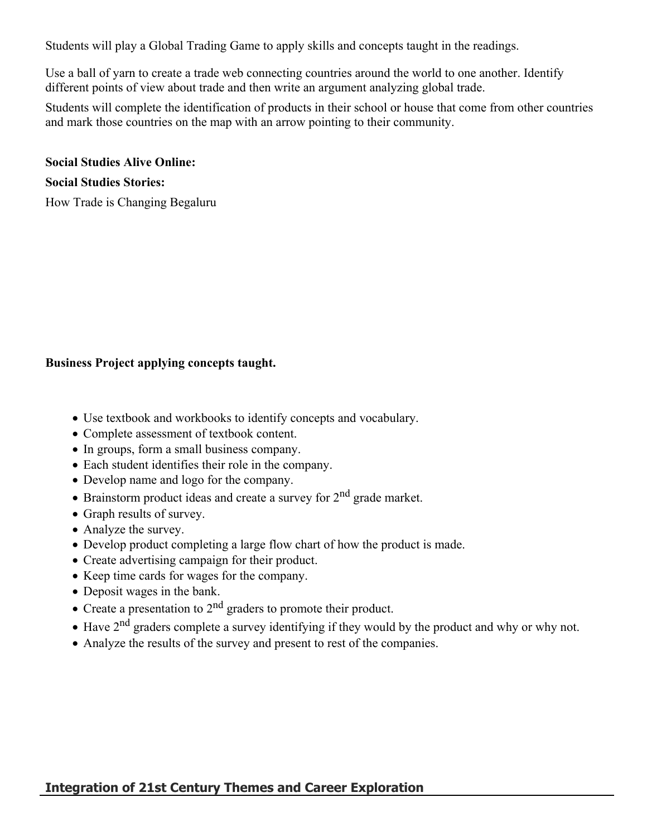Students will play a Global Trading Game to apply skills and concepts taught in the readings.

Use a ball of yarn to create a trade web connecting countries around the world to one another. Identify different points of view about trade and then write an argument analyzing global trade.

Students will complete the identification of products in their school or house that come from other countries and mark those countries on the map with an arrow pointing to their community.

#### **Social Studies Alive Online:**

# **Social Studies Stories:**

How Trade is Changing Begaluru

#### **Business Project applying concepts taught.**

- Use textbook and workbooks to identify concepts and vocabulary.
- Complete assessment of textbook content.
- In groups, form a small business company.
- Each student identifies their role in the company.
- Develop name and logo for the company.
- $\bullet$  Brainstorm product ideas and create a survey for  $2<sup>nd</sup>$  grade market.
- Graph results of survey.
- Analyze the survey.
- Develop product completing a large flow chart of how the product is made.
- Create advertising campaign for their product.
- Keep time cards for wages for the company.
- Deposit wages in the bank.
- Create a presentation to 2<sup>nd</sup> graders to promote their product.
- Have 2nd graders complete a survey identifying if they would by the product and why or why not.
- Analyze the results of the survey and present to rest of the companies.

#### **Integration of 21st Century Themes and Career Exploration**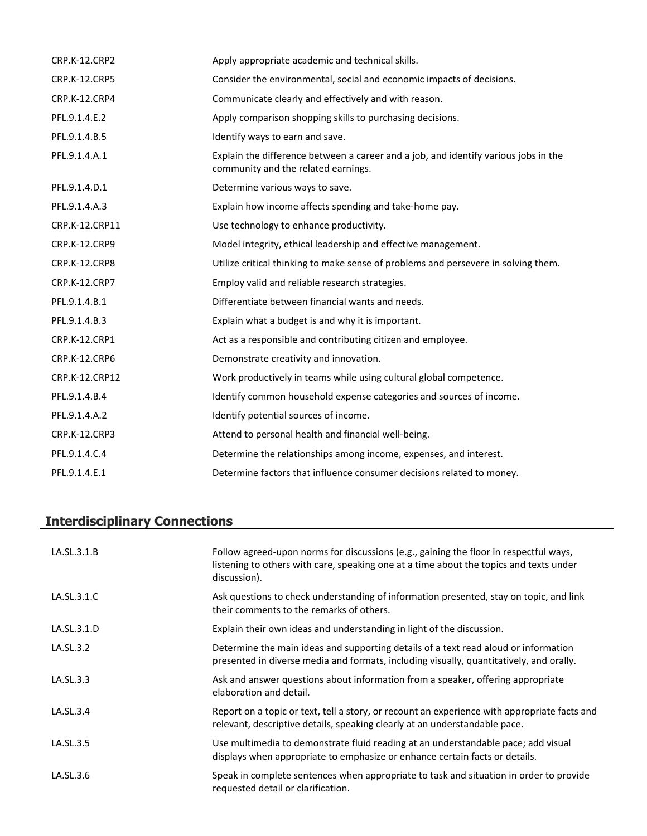| <b>CRP.K-12.CRP2</b> | Apply appropriate academic and technical skills.                                                                           |
|----------------------|----------------------------------------------------------------------------------------------------------------------------|
| CRP.K-12.CRP5        | Consider the environmental, social and economic impacts of decisions.                                                      |
| CRP.K-12.CRP4        | Communicate clearly and effectively and with reason.                                                                       |
| PFL.9.1.4.E.2        | Apply comparison shopping skills to purchasing decisions.                                                                  |
| PFL.9.1.4.B.5        | Identify ways to earn and save.                                                                                            |
| PFL.9.1.4.A.1        | Explain the difference between a career and a job, and identify various jobs in the<br>community and the related earnings. |
| PFL.9.1.4.D.1        | Determine various ways to save.                                                                                            |
| PFL.9.1.4.A.3        | Explain how income affects spending and take-home pay.                                                                     |
| CRP.K-12.CRP11       | Use technology to enhance productivity.                                                                                    |
| CRP.K-12.CRP9        | Model integrity, ethical leadership and effective management.                                                              |
| CRP.K-12.CRP8        | Utilize critical thinking to make sense of problems and persevere in solving them.                                         |
| CRP.K-12.CRP7        | Employ valid and reliable research strategies.                                                                             |
| PFL.9.1.4.B.1        | Differentiate between financial wants and needs.                                                                           |
| PFL.9.1.4.B.3        | Explain what a budget is and why it is important.                                                                          |
| CRP.K-12.CRP1        | Act as a responsible and contributing citizen and employee.                                                                |
| CRP.K-12.CRP6        | Demonstrate creativity and innovation.                                                                                     |
| CRP.K-12.CRP12       | Work productively in teams while using cultural global competence.                                                         |
| PFL.9.1.4.B.4        | Identify common household expense categories and sources of income.                                                        |
| PFL.9.1.4.A.2        | Identify potential sources of income.                                                                                      |
| CRP.K-12.CRP3        | Attend to personal health and financial well-being.                                                                        |
| PFL.9.1.4.C.4        | Determine the relationships among income, expenses, and interest.                                                          |
| PFL.9.1.4.E.1        | Determine factors that influence consumer decisions related to money.                                                      |

# **Interdisciplinary Connections**

| LA.SL.3.1.B | Follow agreed-upon norms for discussions (e.g., gaining the floor in respectful ways,<br>listening to others with care, speaking one at a time about the topics and texts under<br>discussion). |
|-------------|-------------------------------------------------------------------------------------------------------------------------------------------------------------------------------------------------|
| LA.SL.3.1.C | Ask questions to check understanding of information presented, stay on topic, and link<br>their comments to the remarks of others.                                                              |
| LA.SL.3.1.D | Explain their own ideas and understanding in light of the discussion.                                                                                                                           |
| LA.SL.3.2   | Determine the main ideas and supporting details of a text read aloud or information<br>presented in diverse media and formats, including visually, quantitatively, and orally.                  |
| LA.SL.3.3   | Ask and answer questions about information from a speaker, offering appropriate<br>elaboration and detail.                                                                                      |
| LA.SL.3.4   | Report on a topic or text, tell a story, or recount an experience with appropriate facts and<br>relevant, descriptive details, speaking clearly at an understandable pace.                      |
| LA.SL.3.5   | Use multimedia to demonstrate fluid reading at an understandable pace; add visual<br>displays when appropriate to emphasize or enhance certain facts or details.                                |
| LA.SL.3.6   | Speak in complete sentences when appropriate to task and situation in order to provide<br>requested detail or clarification.                                                                    |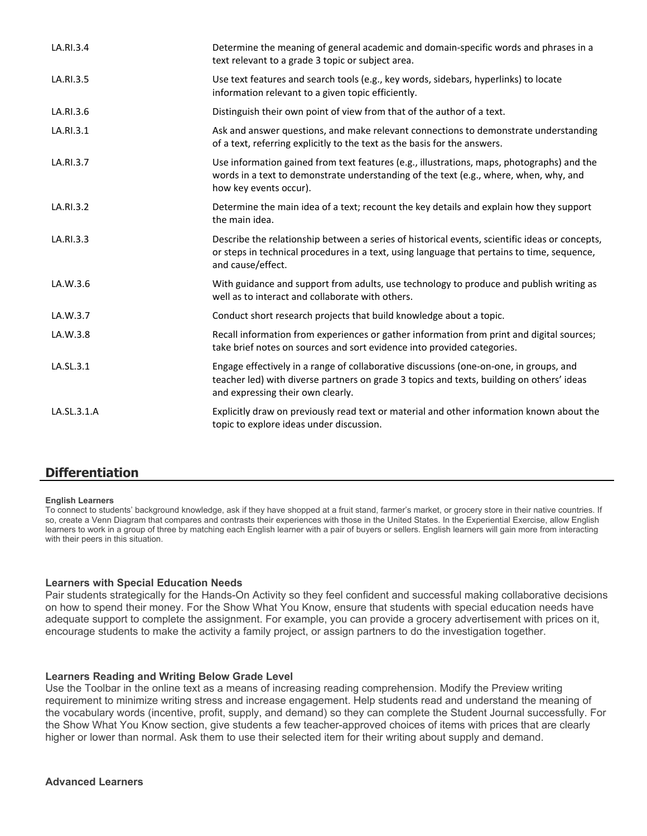| LA.RI.3.4   | Determine the meaning of general academic and domain-specific words and phrases in a<br>text relevant to a grade 3 topic or subject area.                                                                                |
|-------------|--------------------------------------------------------------------------------------------------------------------------------------------------------------------------------------------------------------------------|
| LA.RI.3.5   | Use text features and search tools (e.g., key words, sidebars, hyperlinks) to locate<br>information relevant to a given topic efficiently.                                                                               |
| LA.RI.3.6   | Distinguish their own point of view from that of the author of a text.                                                                                                                                                   |
| LA.RI.3.1   | Ask and answer questions, and make relevant connections to demonstrate understanding<br>of a text, referring explicitly to the text as the basis for the answers.                                                        |
| LA.RI.3.7   | Use information gained from text features (e.g., illustrations, maps, photographs) and the<br>words in a text to demonstrate understanding of the text (e.g., where, when, why, and<br>how key events occur).            |
| LA.RI.3.2   | Determine the main idea of a text; recount the key details and explain how they support<br>the main idea.                                                                                                                |
| LA.RI.3.3   | Describe the relationship between a series of historical events, scientific ideas or concepts,<br>or steps in technical procedures in a text, using language that pertains to time, sequence,<br>and cause/effect.       |
| LA.W.3.6    | With guidance and support from adults, use technology to produce and publish writing as<br>well as to interact and collaborate with others.                                                                              |
| LA.W.3.7    | Conduct short research projects that build knowledge about a topic.                                                                                                                                                      |
| LA.W.3.8    | Recall information from experiences or gather information from print and digital sources;<br>take brief notes on sources and sort evidence into provided categories.                                                     |
| LA.SL.3.1   | Engage effectively in a range of collaborative discussions (one-on-one, in groups, and<br>teacher led) with diverse partners on grade 3 topics and texts, building on others' ideas<br>and expressing their own clearly. |
| LA.SL.3.1.A | Explicitly draw on previously read text or material and other information known about the<br>topic to explore ideas under discussion.                                                                                    |

#### **Differentiation**

#### **English Learners**

To connect to students' background knowledge, ask if they have shopped at a fruit stand, farmer's market, or grocery store in their native countries. If so, create a Venn Diagram that compares and contrasts their experiences with those in the United States. In the Experiential Exercise, allow English learners to work in a group of three by matching each English learner with a pair of buyers or sellers. English learners will gain more from interacting with their peers in this situation.

#### **Learners with Special Education Needs**

Pair students strategically for the Hands-On Activity so they feel confident and successful making collaborative decisions on how to spend their money. For the Show What You Know, ensure that students with special education needs have adequate support to complete the assignment. For example, you can provide a grocery advertisement with prices on it, encourage students to make the activity a family project, or assign partners to do the investigation together.

#### **Learners Reading and Writing Below Grade Level**

Use the Toolbar in the online text as a means of increasing reading comprehension. Modify the Preview writing requirement to minimize writing stress and increase engagement. Help students read and understand the meaning of the vocabulary words (incentive, profit, supply, and demand) so they can complete the Student Journal successfully. For the Show What You Know section, give students a few teacher-approved choices of items with prices that are clearly higher or lower than normal. Ask them to use their selected item for their writing about supply and demand.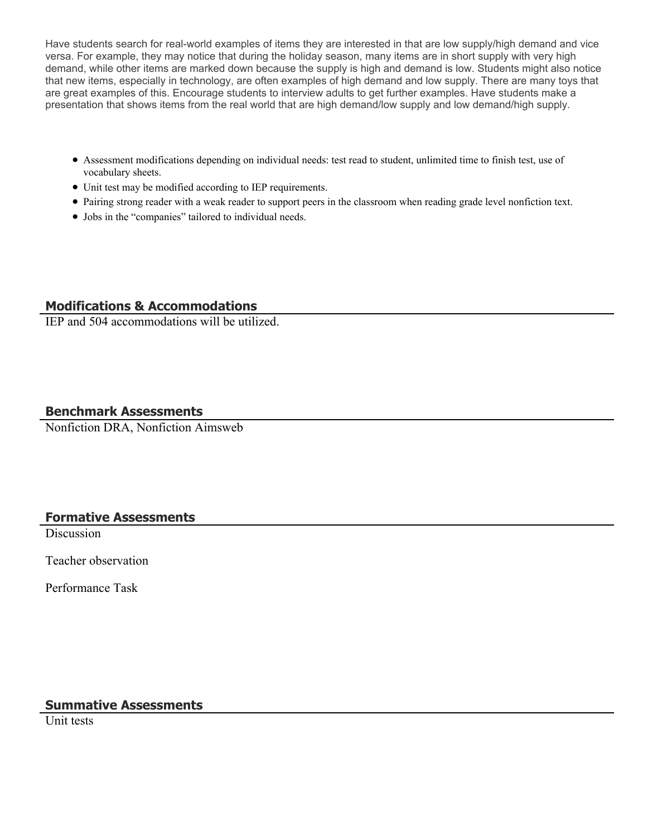Have students search for real-world examples of items they are interested in that are low supply/high demand and vice versa. For example, they may notice that during the holiday season, many items are in short supply with very high demand, while other items are marked down because the supply is high and demand is low. Students might also notice that new items, especially in technology, are often examples of high demand and low supply. There are many toys that are great examples of this. Encourage students to interview adults to get further examples. Have students make a presentation that shows items from the real world that are high demand/low supply and low demand/high supply.

- Assessment modifications depending on individual needs: test read to student, unlimited time to finish test, use of vocabulary sheets.
- Unit test may be modified according to IEP requirements.
- Pairing strong reader with a weak reader to support peers in the classroom when reading grade level nonfiction text.
- Jobs in the "companies" tailored to individual needs.

#### **Modifications & Accommodations**

IEP and 504 accommodations will be utilized.

#### **Benchmark Assessments**

Nonfiction DRA, Nonfiction Aimsweb

#### **Formative Assessments**

**Discussion** 

Teacher observation

Performance Task

#### **Summative Assessments**

Unit tests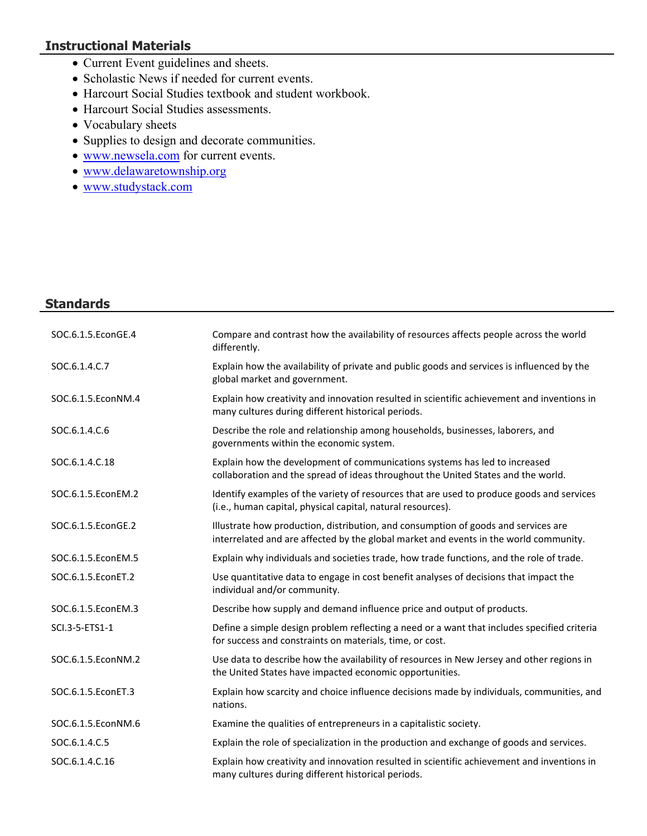## **Instructional Materials**

- Current Event guidelines and sheets.
- Scholastic News if needed for current events.
- Harcourt Social Studies textbook and student workbook.
- Harcourt Social Studies assessments.
- Vocabulary sheets
- Supplies to design and decorate communities.
- [www.newsela.com](http://www.newsela.com/) for current events.
- [www.delawaretownship.org](http://www.delawaretownship.org/)
- [www.studystack.com](http://www.studystack.com/)

#### **Standards**

| SOC.6.1.5.EconGE.4 | Compare and contrast how the availability of resources affects people across the world<br>differently.                                                                      |
|--------------------|-----------------------------------------------------------------------------------------------------------------------------------------------------------------------------|
| SOC.6.1.4.C.7      | Explain how the availability of private and public goods and services is influenced by the<br>global market and government.                                                 |
| SOC.6.1.5.EconNM.4 | Explain how creativity and innovation resulted in scientific achievement and inventions in<br>many cultures during different historical periods.                            |
| SOC.6.1.4.C.6      | Describe the role and relationship among households, businesses, laborers, and<br>governments within the economic system.                                                   |
| SOC.6.1.4.C.18     | Explain how the development of communications systems has led to increased<br>collaboration and the spread of ideas throughout the United States and the world.             |
| SOC.6.1.5.EconEM.2 | Identify examples of the variety of resources that are used to produce goods and services<br>(i.e., human capital, physical capital, natural resources).                    |
| SOC.6.1.5.EconGE.2 | Illustrate how production, distribution, and consumption of goods and services are<br>interrelated and are affected by the global market and events in the world community. |
| SOC.6.1.5.EconEM.5 | Explain why individuals and societies trade, how trade functions, and the role of trade.                                                                                    |
| SOC.6.1.5.EconET.2 | Use quantitative data to engage in cost benefit analyses of decisions that impact the<br>individual and/or community.                                                       |
| SOC.6.1.5.EconEM.3 | Describe how supply and demand influence price and output of products.                                                                                                      |
| SCI.3-5-ETS1-1     | Define a simple design problem reflecting a need or a want that includes specified criteria<br>for success and constraints on materials, time, or cost.                     |
| SOC.6.1.5.EconNM.2 | Use data to describe how the availability of resources in New Jersey and other regions in<br>the United States have impacted economic opportunities.                        |
| SOC.6.1.5.EconET.3 | Explain how scarcity and choice influence decisions made by individuals, communities, and<br>nations.                                                                       |
| SOC.6.1.5.EconNM.6 | Examine the qualities of entrepreneurs in a capitalistic society.                                                                                                           |
| SOC.6.1.4.C.5      | Explain the role of specialization in the production and exchange of goods and services.                                                                                    |
| SOC.6.1.4.C.16     | Explain how creativity and innovation resulted in scientific achievement and inventions in<br>many cultures during different historical periods.                            |